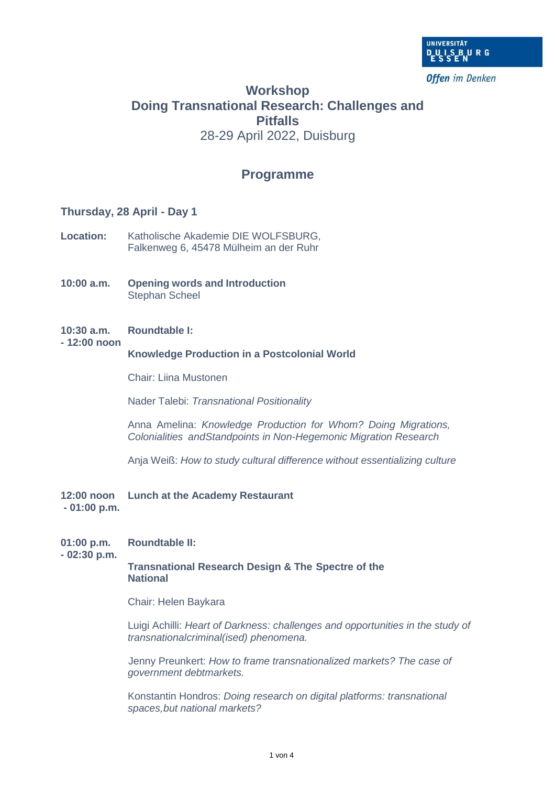

**Offen** im Denken

# **Workshop Doing Transnational Research: Challenges and Pitfalls** 28-29 April 2022, Duisburg

# **Programme**

### **Thursday, 28 April - Day 1**

- **Location:** Katholische Akademie DIE WOLFSBURG, Falkenweg 6, 45478 Mülheim an der Ruhr
- **10:00 a.m. Opening words and Introduction** Stephan Scheel
- **10:30 a.m. Roundtable I:**

### **- 12:00 noon**

#### **Knowledge Production in a Postcolonial World**

Chair: Liina Mustonen

Nader Talebi: *Transnational Positionality*

Anna Amelina: *Knowledge Production for Whom? Doing Migrations, Colonialities andStandpoints in Non-Hegemonic Migration Research*

Anja Weiß: *How to study cultural difference without essentializing culture*

**12:00 noon Lunch at the Academy Restaurant - 01:00 p.m.**

## **01:00 p.m. Roundtable II:**

**- 02:30 p.m.**

### **Transnational Research Design & The Spectre of the National**

Chair: Helen Baykara

Luigi Achilli: *Heart of Darkness: challenges and opportunities in the study of transnationalcriminal(ised) phenomena.*

Jenny Preunkert: *How to frame transnationalized markets? The case of government debtmarkets.*

Konstantin Hondros: *Doing research on digital platforms: transnational spaces,but national markets?*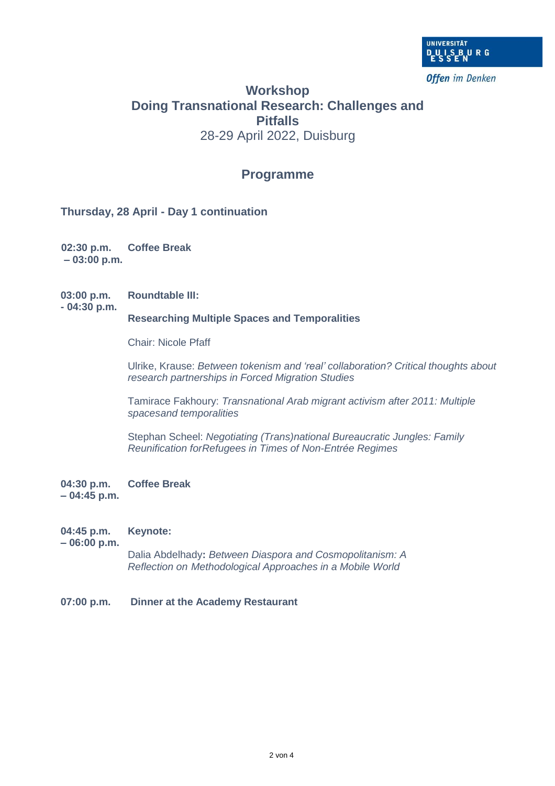

# **Workshop Doing Transnational Research: Challenges and Pitfalls** 28-29 April 2022, Duisburg

# **Programme**

**Thursday, 28 April - Day 1 continuation**

**02:30 p.m. Coffee Break – 03:00 p.m.**

**03:00 p.m. Roundtable III: - 04:30 p.m.**

### **Researching Multiple Spaces and Temporalities**

Chair: Nicole Pfaff

Ulrike, Krause: *Between tokenism and 'real' collaboration? Critical thoughts about research partnerships in Forced Migration Studies*

Tamirace Fakhoury: *Transnational Arab migrant activism after 2011: Multiple spacesand temporalities*

Stephan Scheel: *Negotiating (Trans)national Bureaucratic Jungles: Family Reunification forRefugees in Times of Non-Entrée Regimes*

**04:30 p.m. Coffee Break – 04:45 p.m.**

**04:45 p.m. Keynote:**

**– 06:00 p.m.**

Dalia Abdelhady**:** *Between Diaspora and Cosmopolitanism: A Reflection on Methodological Approaches in a Mobile World*

**07:00 p.m. Dinner at the Academy Restaurant**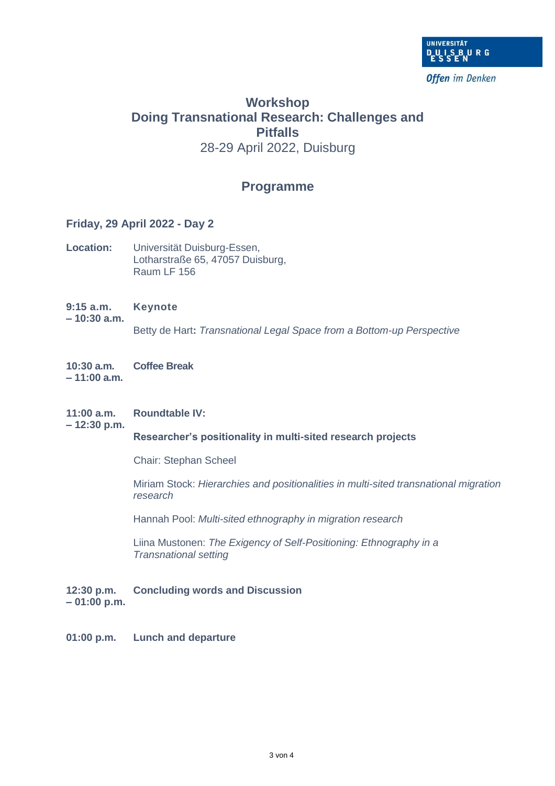

# **Workshop Doing Transnational Research: Challenges and Pitfalls** 28-29 April 2022, Duisburg

# **Programme**

### **Friday, 29 April 2022 - Day 2**

- **Location:** Universität Duisburg-Essen, Lotharstraße 65, 47057 Duisburg, Raum LF 156
- **9:15 a.m. Keynote – 10:30 a.m.** Betty de Hart**:** *Transnational Legal Space from a Bottom-up Perspective*
- **10:30 a.m. Coffee Break – 11:00 a.m.**
- **11:00 a.m. Roundtable IV:**

**– 12:30 p.m.**

### **Researcher's positionality in multi-sited research projects**

Chair: Stephan Scheel

Miriam Stock: *Hierarchies and positionalities in multi-sited transnational migration research*

Hannah Pool: *Multi-sited ethnography in migration research*

Liina Mustonen: *The Exigency of Self-Positioning: Ethnography in a Transnational setting*

**12:30 p.m. Concluding words and Discussion – 01:00 p.m.**

**01:00 p.m. Lunch and departure**